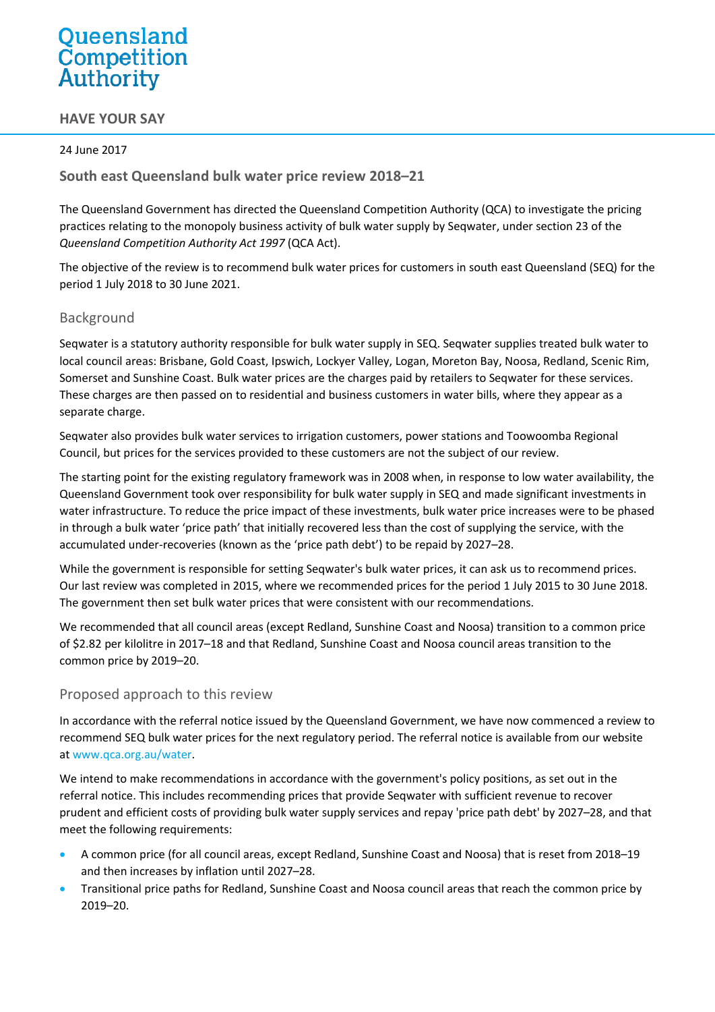# Queensland Competition Authority

# **HAVE YOUR SAY**

#### 24 June 2017

**South east Queensland bulk water price review 2018–21**

The Queensland Government has directed the Queensland Competition Authority (QCA) to investigate the pricing practices relating to the monopoly business activity of bulk water supply by Seqwater, under section 23 of the *Queensland Competition Authority Act 1997* (QCA Act).

The objective of the review is to recommend bulk water prices for customers in south east Queensland (SEQ) for the period 1 July 2018 to 30 June 2021.

## Background

Seqwater is a statutory authority responsible for bulk water supply in SEQ. Seqwater supplies treated bulk water to local council areas: Brisbane, Gold Coast, Ipswich, Lockyer Valley, Logan, Moreton Bay, Noosa, Redland, Scenic Rim, Somerset and Sunshine Coast. Bulk water prices are the charges paid by retailers to Seqwater for these services. These charges are then passed on to residential and business customers in water bills, where they appear as a separate charge.

Seqwater also provides bulk water services to irrigation customers, power stations and Toowoomba Regional Council, but prices for the services provided to these customers are not the subject of our review.

The starting point for the existing regulatory framework was in 2008 when, in response to low water availability, the Queensland Government took over responsibility for bulk water supply in SEQ and made significant investments in water infrastructure. To reduce the price impact of these investments, bulk water price increases were to be phased in through a bulk water 'price path' that initially recovered less than the cost of supplying the service, with the accumulated under-recoveries (known as the 'price path debt') to be repaid by 2027–28.

While the government is responsible for setting Seqwater's bulk water prices, it can ask us to recommend prices. Our last review was completed in 2015, where we recommended prices for the period 1 July 2015 to 30 June 2018. The government then set bulk water prices that were consistent with our recommendations.

We recommended that all council areas (except Redland, Sunshine Coast and Noosa) transition to a common price of \$2.82 per kilolitre in 2017–18 and that Redland, Sunshine Coast and Noosa council areas transition to the common price by 2019–20.

#### Proposed approach to this review

In accordance with the referral notice issued by the Queensland Government, we have now commenced a review to recommend SEQ bulk water prices for the next regulatory period. The referral notice is available from our website a[t www.qca.org.au/water.](http://www.qca.org.au/water)

We intend to make recommendations in accordance with the government's policy positions, as set out in the referral notice. This includes recommending prices that provide Seqwater with sufficient revenue to recover prudent and efficient costs of providing bulk water supply services and repay 'price path debt' by 2027–28, and that meet the following requirements:

- A common price (for all council areas, except Redland, Sunshine Coast and Noosa) that is reset from 2018–19 and then increases by inflation until 2027–28.
- Transitional price paths for Redland, Sunshine Coast and Noosa council areas that reach the common price by 2019–20.